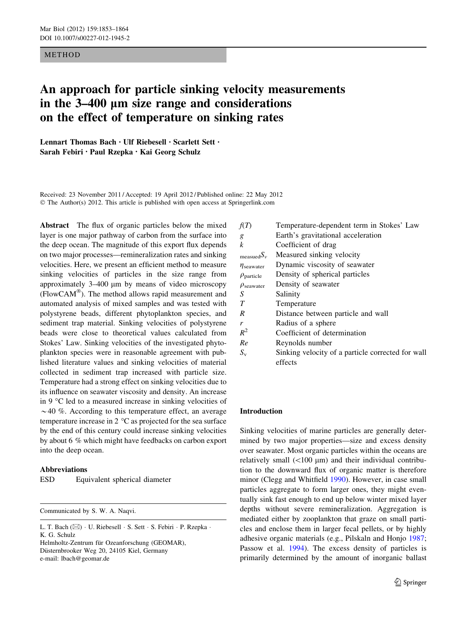#### METHOD

# An approach for particle sinking velocity measurements in the 3–400 um size range and considerations on the effect of temperature on sinking rates

Lennart Thomas Bach • Ulf Riebesell • Scarlett Sett • Sarah Febiri • Paul Rzepka • Kai Georg Schulz

Received: 23 November 2011 / Accepted: 19 April 2012 / Published online: 22 May 2012 © The Author(s) 2012. This article is published with open access at Springerlink.com

Abstract The flux of organic particles below the mixed layer is one major pathway of carbon from the surface into the deep ocean. The magnitude of this export flux depends on two major processes—remineralization rates and sinking velocities. Here, we present an efficient method to measure sinking velocities of particles in the size range from approximately  $3-400 \mu m$  by means of video microscopy  $(FlowCAM^{\circledast})$ . The method allows rapid measurement and automated analysis of mixed samples and was tested with polystyrene beads, different phytoplankton species, and sediment trap material. Sinking velocities of polystyrene beads were close to theoretical values calculated from Stokes' Law. Sinking velocities of the investigated phytoplankton species were in reasonable agreement with published literature values and sinking velocities of material collected in sediment trap increased with particle size. Temperature had a strong effect on sinking velocities due to its influence on seawater viscosity and density. An increase in 9  $\degree$ C led to a measured increase in sinking velocities of  $\sim$  40 %. According to this temperature effect, an average temperature increase in 2  $\mathrm{^{\circ}C}$  as projected for the sea surface by the end of this century could increase sinking velocities by about 6 % which might have feedbacks on carbon export into the deep ocean.

### Abbreviations

| ESD | Equivalent spherical diameter |  |  |
|-----|-------------------------------|--|--|
|-----|-------------------------------|--|--|

Communicated by S. W. A. Naqvi.

Helmholtz-Zentrum für Ozeanforschung (GEOMAR), Düsternbrooker Weg 20, 24105 Kiel, Germany e-mail: lbach@geomar.de

| f(T)                     | Temperature-dependent term in Stokes' Law         |
|--------------------------|---------------------------------------------------|
| g                        | Earth's gravitational acceleration                |
| k                        | Coefficient of drag                               |
| $measuredS_v$            | Measured sinking velocity                         |
| $\eta_{\text{seawater}}$ | Dynamic viscosity of seawater                     |
| $\rho_{\text{particle}}$ | Density of spherical particles                    |
| $\rho_{\text{seawater}}$ | Density of seawater                               |
| S                        | Salinity                                          |
| T                        | Temperature                                       |
| R                        | Distance between particle and wall                |
| r                        | Radius of a sphere                                |
| $R^2$                    | Coefficient of determination                      |
| Re                       | Reynolds number                                   |
| $S_{v}$                  | Sinking velocity of a particle corrected for wall |
|                          | effects                                           |
|                          |                                                   |

## Introduction

Sinking velocities of marine particles are generally determined by two major properties—size and excess density over seawater. Most organic particles within the oceans are relatively small  $(<100 \mu m)$  and their individual contribution to the downward flux of organic matter is therefore minor (Clegg and Whitfield [1990](#page-10-0)). However, in case small particles aggregate to form larger ones, they might eventually sink fast enough to end up below winter mixed layer depths without severe remineralization. Aggregation is mediated either by zooplankton that graze on small particles and enclose them in larger fecal pellets, or by highly adhesive organic materials (e.g., Pilskaln and Honjo [1987](#page-11-0); Passow et al. [1994](#page-10-0)). The excess density of particles is primarily determined by the amount of inorganic ballast

L. T. Bach (⊠) · U. Riebesell · S. Sett · S. Febiri · P. Rzepka · K. G. Schulz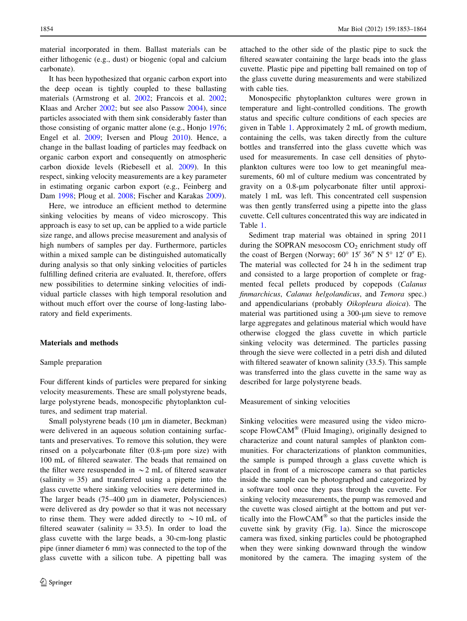<span id="page-1-0"></span>material incorporated in them. Ballast materials can be either lithogenic (e.g., dust) or biogenic (opal and calcium carbonate).

It has been hypothesized that organic carbon export into the deep ocean is tightly coupled to these ballasting materials (Armstrong et al. [2002;](#page-10-0) Francois et al. [2002](#page-10-0); Klaas and Archer [2002;](#page-10-0) but see also Passow [2004](#page-10-0)), since particles associated with them sink considerably faster than those consisting of organic matter alone (e.g., Honjo [1976](#page-10-0); Engel et al. [2009;](#page-10-0) Iversen and Ploug [2010\)](#page-10-0). Hence, a change in the ballast loading of particles may feedback on organic carbon export and consequently on atmospheric carbon dioxide levels (Riebesell et al. [2009\)](#page-11-0). In this respect, sinking velocity measurements are a key parameter in estimating organic carbon export (e.g., Feinberg and Dam [1998;](#page-10-0) Ploug et al. [2008](#page-11-0); Fischer and Karakas [2009\)](#page-10-0).

Here, we introduce an efficient method to determine sinking velocities by means of video microscopy. This approach is easy to set up, can be applied to a wide particle size range, and allows precise measurement and analysis of high numbers of samples per day. Furthermore, particles within a mixed sample can be distinguished automatically during analysis so that only sinking velocities of particles fulfilling defined criteria are evaluated. It, therefore, offers new possibilities to determine sinking velocities of individual particle classes with high temporal resolution and without much effort over the course of long-lasting laboratory and field experiments.

## Materials and methods

#### Sample preparation

Four different kinds of particles were prepared for sinking velocity measurements. These are small polystyrene beads, large polystyrene beads, monospecific phytoplankton cultures, and sediment trap material.

Small polystyrene beads (10 µm in diameter, Beckman) were delivered in an aqueous solution containing surfactants and preservatives. To remove this solution, they were rinsed on a polycarbonate filter  $(0.8 \text{-} \mu \text{m})$  pore size) with 100 mL of filtered seawater. The beads that remained on the filter were resuspended in  $\sim$  2 mL of filtered seawater  $(salinity = 35)$  and transferred using a pipette into the glass cuvette where sinking velocities were determined in. The larger beads  $(75-400 \mu m)$  in diameter, Polysciences) were delivered as dry powder so that it was not necessary to rinse them. They were added directly to  $\sim 10$  mL of filtered seawater (salinity  $= 33.5$ ). In order to load the glass cuvette with the large beads, a 30-cm-long plastic pipe (inner diameter 6 mm) was connected to the top of the glass cuvette with a silicon tube. A pipetting ball was attached to the other side of the plastic pipe to suck the filtered seawater containing the large beads into the glass cuvette. Plastic pipe and pipetting ball remained on top of the glass cuvette during measurements and were stabilized with cable ties.

Monospecific phytoplankton cultures were grown in temperature and light-controlled conditions. The growth status and specific culture conditions of each species are given in Table [1.](#page-2-0) Approximately 2 mL of growth medium, containing the cells, was taken directly from the culture bottles and transferred into the glass cuvette which was used for measurements. In case cell densities of phytoplankton cultures were too low to get meaningful measurements, 60 ml of culture medium was concentrated by gravity on a 0.8-lm polycarbonate filter until approximately 1 mL was left. This concentrated cell suspension was then gently transferred using a pipette into the glass cuvette. Cell cultures concentrated this way are indicated in Table [1](#page-2-0).

Sediment trap material was obtained in spring 2011 during the SOPRAN mesocosm  $CO<sub>2</sub>$  enrichment study off the coast of Bergen (Norway;  $60^{\circ}$  15' 36" N 5° 12' 0" E). The material was collected for 24 h in the sediment trap and consisted to a large proportion of complete or fragmented fecal pellets produced by copepods (Calanus finmarchicus, Calanus helgolandicus, and Temora spec.) and appendicularians (probably Oikopleura dioica). The material was partitioned using a 300-um sieve to remove large aggregates and gelatinous material which would have otherwise clogged the glass cuvette in which particle sinking velocity was determined. The particles passing through the sieve were collected in a petri dish and diluted with filtered seawater of known salinity (33.5). This sample was transferred into the glass cuvette in the same way as described for large polystyrene beads.

Measurement of sinking velocities

Sinking velocities were measured using the video microscope  $FlowCAM^{\circledR}$  (Fluid Imaging), originally designed to characterize and count natural samples of plankton communities. For characterizations of plankton communities, the sample is pumped through a glass cuvette which is placed in front of a microscope camera so that particles inside the sample can be photographed and categorized by a software tool once they pass through the cuvette. For sinking velocity measurements, the pump was removed and the cuvette was closed airtight at the bottom and put vertically into the  $FlowCAM^{\circledR}$  so that the particles inside the cuvette sink by gravity (Fig. [1a](#page-3-0)). Since the microscope camera was fixed, sinking particles could be photographed when they were sinking downward through the window monitored by the camera. The imaging system of the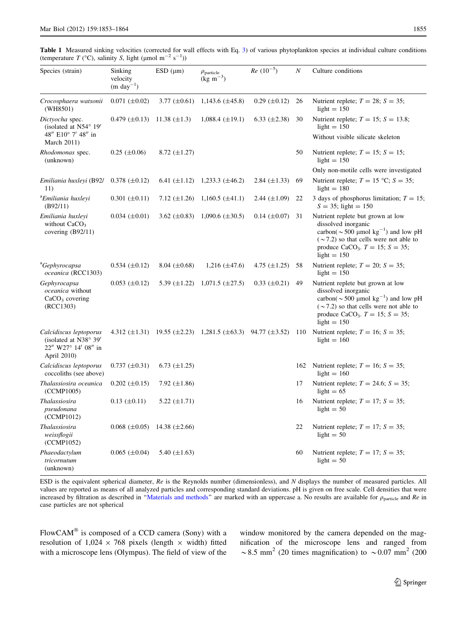<span id="page-2-0"></span>Table 1 Measured sinking velocities (corrected for wall effects with Eq. [3](#page-5-0)) of various phytoplankton species at individual culture conditions (temperature  $T$  (°C), salinity S, light (µmol m<sup>-2</sup> s<sup>-1</sup>))

| Species (strain)                                                                      | Sinking<br>velocity<br>$(m \text{ day}^{-1})$ | $ESD$ ( $\mu$ m)   | $\rho_{\text{particle}}$<br>$(kg \text{ m}^{-3})$                             | $Re\ (10^{-5})$     | $\boldsymbol{N}$ | Culture conditions                                                                                                                                                                                                                     |
|---------------------------------------------------------------------------------------|-----------------------------------------------|--------------------|-------------------------------------------------------------------------------|---------------------|------------------|----------------------------------------------------------------------------------------------------------------------------------------------------------------------------------------------------------------------------------------|
| Crocosphaera watsonii<br>(WH8501)                                                     | $0.071 (\pm 0.02)$                            | 3.77 $(\pm 0.61)$  | $1,143.6 \ (\pm 45.8)$                                                        | $0.29~(\pm 0.12)$   | 26               | Nutrient replete; $T = 28$ ; $S = 35$ ;<br>$light = 150$                                                                                                                                                                               |
| Dictyocha spec.<br>(isolated at $N54^{\circ}$ 19'<br>48" E10° 7' 48" in               | $0.479 \ (\pm 0.13)$                          | 11.38 $(\pm 1.3)$  | $1,088.4~(\pm 19.1)$                                                          | 6.33 $(\pm 2.38)$   | 30               | Nutrient replete; $T = 15$ ; $S = 13.8$ ;<br>light $= 150$<br>Without visible silicate skeleton                                                                                                                                        |
| March 2011)<br>Rhodomonas spec.<br>(unknown)                                          | $0.25 (\pm 0.06)$                             | 8.72 $(\pm 1.27)$  |                                                                               |                     | 50               | Nutrient replete; $T = 15$ ; $S = 15$ ;<br>light $= 150$                                                                                                                                                                               |
|                                                                                       |                                               |                    |                                                                               |                     |                  | Only non-motile cells were investigated                                                                                                                                                                                                |
| Emiliania huxleyi (B92/<br>11)                                                        | $0.378 \ (\pm 0.12)$                          |                    | 6.41 $(\pm 1.12)$ 1,233.3 $(\pm 46.2)$                                        | 2.84 $(\pm 1.33)$   | 69               | Nutrient replete; $T = 15$ °C; $S = 35$ ;<br>light $= 180$                                                                                                                                                                             |
| <sup>a</sup> Emiliania huxleyi<br>(B92/11)                                            | $0.301 \ (\pm 0.11)$                          | 7.12 $(\pm 1.26)$  | $1,160.5 \ (\pm 41.1)$                                                        | 2.44 $(\pm 1.09)$   | 22               | 3 days of phosphorus limitation; $T = 15$ ;<br>$S = 35$ ; light = 150                                                                                                                                                                  |
| Emiliania huxleyi<br>without $CaCO3$<br>covering (B92/11)                             | $0.034 \ (\pm 0.01)$                          | 3.62 $(\pm 0.83)$  | $1,090.6 \ (\pm 30.5)$                                                        | $0.14 \ (\pm 0.07)$ | 31               | Nutrient replete but grown at low<br>dissolved inorganic<br>carbon( $\sim$ 500 µmol kg <sup>-1</sup> ) and low pH<br>$(\sim 7.2)$ so that cells were not able to<br>produce CaCO <sub>3</sub> . $T = 15$ ; $S = 35$ ;<br>light $= 150$ |
| <sup>a</sup> Gephyrocapsa<br>oceanica (RCC1303)                                       | $0.534 \ (\pm 0.12)$                          | 8.04 $(\pm 0.68)$  | $1,216 \ (\pm 47.6)$                                                          | 4.75 $(\pm 1.25)$   | -58              | Nutrient replete; $T = 20$ ; $S = 35$ ;<br>light $= 150$                                                                                                                                                                               |
| Gephyrocapsa<br><i>oceanica</i> without<br>CaCO <sub>3</sub> covering<br>(RCC1303)    | $0.053 \ (\pm 0.12)$                          | 5.39 $(\pm 1.22)$  | $1,071.5 \ (\pm 27.5)$                                                        | $0.33 \ (\pm 0.21)$ | 49               | Nutrient replete but grown at low<br>dissolved inorganic<br>carbon( $\sim$ 500 µmol kg <sup>-1</sup> ) and low pH<br>$(\sim 7.2)$ so that cells were not able to<br>produce CaCO <sub>3</sub> . $T = 15$ ; $S = 35$ ;<br>light $= 150$ |
| Calcidiscus leptoporus<br>(isolated at N38° 39'<br>22" W27° 14' 08" in<br>April 2010) |                                               |                    | 4.312 $(\pm 1.31)$ 19.55 $(\pm 2.23)$ 1,281.5 $(\pm 63.3)$ 94.77 $(\pm 3.52)$ |                     | 110              | Nutrient replete; $T = 16$ ; $S = 35$ ;<br>light $= 160$                                                                                                                                                                               |
| Calcidiscus leptoporus<br>coccoliths (see above)                                      | $0.737 \ (\pm 0.31)$                          | 6.73 $(\pm 1.25)$  |                                                                               |                     | 162              | Nutrient replete; $T = 16$ ; $S = 35$ ;<br>light $= 160$                                                                                                                                                                               |
| Thalassiosira oceanica<br>(CCMP1005)                                                  | $0.202 \ (\pm 0.15)$                          | 7.92 $(\pm 1.86)$  |                                                                               |                     | 17               | Nutrient replete; $T = 24.6$ ; $S = 35$ ;<br>light $= 65$                                                                                                                                                                              |
| Thalassiosira<br>pseudonana<br>(CCMP1012)                                             | $0.13 \ (\pm 0.11)$                           | 5.22 $(\pm 1.71)$  |                                                                               |                     | 16               | Nutrient replete; $T = 17$ ; $S = 35$ ;<br>light $= 50$                                                                                                                                                                                |
| Thalassiosira<br>weissflogii<br>(CCMP1052)                                            | $0.068 \ (\pm 0.05)$                          | 14.38 $(\pm 2.66)$ |                                                                               |                     | 22               | Nutrient replete; $T = 17$ ; $S = 35$ ;<br>light $= 50$                                                                                                                                                                                |
| Phaeodactylum<br>tricornutum<br>(unknown)                                             | $0.065 \ (\pm 0.04)$                          | 5.40 $(\pm 1.63)$  |                                                                               |                     | 60               | Nutrient replete; $T = 17$ ; $S = 35$ ;<br>light $= 50$                                                                                                                                                                                |

ESD is the equivalent spherical diameter, Re is the Reynolds number (dimensionless), and N displays the number of measured particles. All values are reported as means of all analyzed particles and corresponding standard deviations. pH is given on free scale. Cell densities that were increased by filtration as described in "Materials and methods" are marked with an uppercase a. No results are available for  $\rho_{\text{particle}}$  and  $Re$  in case particles are not spherical

FlowCAM $\textcircled{\tiny{\textcircled{\tiny{8}}}}$  is composed of a CCD camera (Sony) with a resolution of  $1,024 \times 768$  pixels (length  $\times$  width) fitted with a microscope lens (Olympus). The field of view of the window monitored by the camera depended on the magnification of the microscope lens and ranged from  $\sim$  8.5 mm<sup>2</sup> (20 times magnification) to  $\sim$  0.07 mm<sup>2</sup> (200)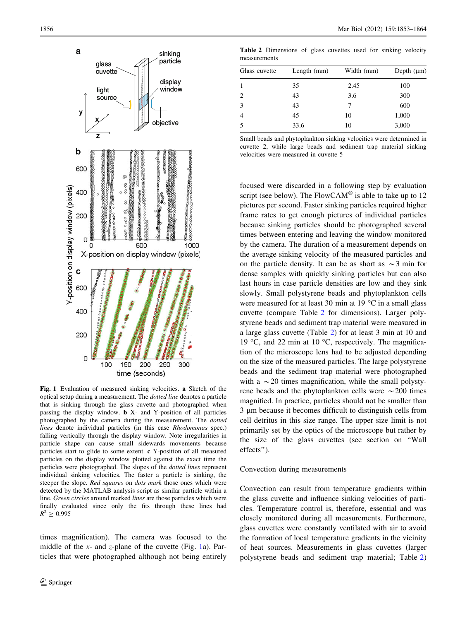<span id="page-3-0"></span>

Fig. 1 Evaluation of measured sinking velocities. a Sketch of the optical setup during a measurement. The dotted line denotes a particle that is sinking through the glass cuvette and photographed when passing the display window. b X- and Y-position of all particles photographed by the camera during the measurement. The dotted lines denote individual particles (in this case Rhodomonas spec.) falling vertically through the display window. Note irregularities in particle shape can cause small sidewards movements because particles start to glide to some extent. c Y-position of all measured particles on the display window plotted against the exact time the particles were photographed. The slopes of the dotted lines represent individual sinking velocities. The faster a particle is sinking, the steeper the slope. Red squares on dots mark those ones which were detected by the MATLAB analysis script as similar particle within a line. Green circles around marked lines are those particles which were finally evaluated since only the fits through these lines had  $R^2 \ge 0.995$ 

times magnification). The camera was focused to the middle of the x- and z-plane of the cuvette (Fig. 1a). Particles that were photographed although not being entirely

Table 2 Dimensions of glass cuvettes used for sinking velocity measurements

| Glass cuvette  | Length $(mm)$ | Width (mm) | Depth $(\mu m)$ |  |
|----------------|---------------|------------|-----------------|--|
| -1             | 35            | 2.45       | 100             |  |
| $\overline{c}$ | 43            | 3.6        | 300             |  |
| 3              | 43            | 7          | 600             |  |
| $\overline{4}$ | 45            | 10         | 1,000           |  |
| 5              | 33.6          | 10         | 3,000           |  |

Small beads and phytoplankton sinking velocities were determined in cuvette 2, while large beads and sediment trap material sinking velocities were measured in cuvette 5

focused were discarded in a following step by evaluation script (see below). The  $FlowCAM^{\circledR}$  is able to take up to 12 pictures per second. Faster sinking particles required higher frame rates to get enough pictures of individual particles because sinking particles should be photographed several times between entering and leaving the window monitored by the camera. The duration of a measurement depends on the average sinking velocity of the measured particles and on the particle density. It can be as short as  $\sim$ 3 min for dense samples with quickly sinking particles but can also last hours in case particle densities are low and they sink slowly. Small polystyrene beads and phytoplankton cells were measured for at least 30 min at 19  $\degree$ C in a small glass cuvette (compare Table 2 for dimensions). Larger polystyrene beads and sediment trap material were measured in a large glass cuvette (Table 2) for at least 3 min at 10 and 19 °C, and 22 min at 10 °C, respectively. The magnification of the microscope lens had to be adjusted depending on the size of the measured particles. The large polystyrene beads and the sediment trap material were photographed with a  $\sim$  20 times magnification, while the small polystyrene beads and the phytoplankton cells were  $\sim$  200 times magnified. In practice, particles should not be smaller than 3 lm because it becomes difficult to distinguish cells from cell detritus in this size range. The upper size limit is not primarily set by the optics of the microscope but rather by the size of the glass cuvettes (see section on ''Wall effects'').

#### Convection during measurements

Convection can result from temperature gradients within the glass cuvette and influence sinking velocities of particles. Temperature control is, therefore, essential and was closely monitored during all measurements. Furthermore, glass cuvettes were constantly ventilated with air to avoid the formation of local temperature gradients in the vicinity of heat sources. Measurements in glass cuvettes (larger polystyrene beads and sediment trap material; Table 2)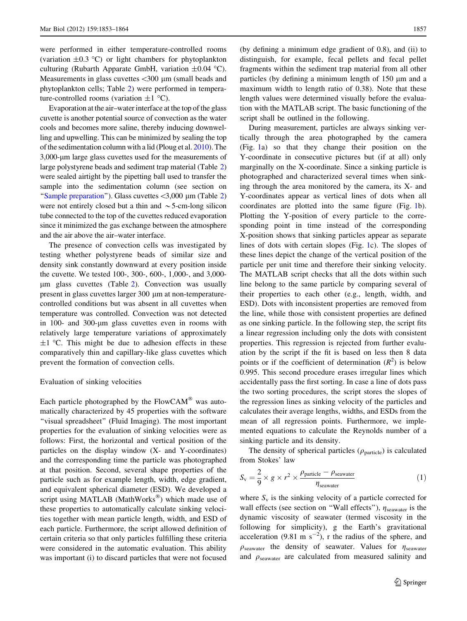<span id="page-4-0"></span>were performed in either temperature-controlled rooms (variation  $\pm 0.3$  °C) or light chambers for phytoplankton culturing (Rubarth Apparate GmbH, variation  $\pm 0.04$  °C). Measurements in glass cuvettes  $\langle 300 \text{ µm}$  (small beads and phytoplankton cells; Table [2\)](#page-3-0) were performed in temperature-controlled rooms (variation  $\pm 1$  °C).

Evaporation at the air–water interface at the top of the glass cuvette is another potential source of convection as the water cools and becomes more saline, thereby inducing downwelling and upwelling. This can be minimized by sealing the top of the sedimentation column with a lid (Ploug et al. [2010](#page-11-0)). The 3,000-lm large glass cuvettes used for the measurements of large polystyrene beads and sediment trap material (Table [2\)](#page-3-0) were sealed airtight by the pipetting ball used to transfer the sample into the sedimentation column (see section on "Sample preparation"). Glass cuvettes  $\langle 3,000 \rangle$  µm (Table [2\)](#page-3-0) were not entirely closed but a thin and  $\sim$  5-cm-long silicon tube connected to the top of the cuvettes reduced evaporation since it minimized the gas exchange between the atmosphere and the air above the air–water interface.

The presence of convection cells was investigated by testing whether polystyrene beads of similar size and density sink constantly downward at every position inside the cuvette. We tested 100-, 300-, 600-, 1,000-, and 3,000 lm glass cuvettes (Table [2](#page-3-0)). Convection was usually present in glass cuvettes larger 300  $\mu$ m at non-temperaturecontrolled conditions but was absent in all cuvettes when temperature was controlled. Convection was not detected in 100- and 300-um glass cuvettes even in rooms with relatively large temperature variations of approximately  $\pm 1$  °C. This might be due to adhesion effects in these comparatively thin and capillary-like glass cuvettes which prevent the formation of convection cells.

#### Evaluation of sinking velocities

Each particle photographed by the  $FlowCAM^{\circledR}$  was automatically characterized by 45 properties with the software "visual spreadsheet" (Fluid Imaging). The most important properties for the evaluation of sinking velocities were as follows: First, the horizontal and vertical position of the particles on the display window (X- and Y-coordinates) and the corresponding time the particle was photographed at that position. Second, several shape properties of the particle such as for example length, width, edge gradient, and equivalent spherical diameter (ESD). We developed a script using MATLAB (MathWorks<sup>®</sup>) which made use of these properties to automatically calculate sinking velocities together with mean particle length, width, and ESD of each particle. Furthermore, the script allowed definition of certain criteria so that only particles fulfilling these criteria were considered in the automatic evaluation. This ability was important (i) to discard particles that were not focused (by defining a minimum edge gradient of 0.8), and (ii) to distinguish, for example, fecal pellets and fecal pellet fragments within the sediment trap material from all other particles (by defining a minimum length of  $150 \mu m$  and a maximum width to length ratio of 0.38). Note that these length values were determined visually before the evaluation with the MATLAB script. The basic functioning of the script shall be outlined in the following.

During measurement, particles are always sinking vertically through the area photographed by the camera (Fig. [1a](#page-3-0)) so that they change their position on the Y-coordinate in consecutive pictures but (if at all) only marginally on the X-coordinate. Since a sinking particle is photographed and characterized several times when sinking through the area monitored by the camera, its X- and Y-coordinates appear as vertical lines of dots when all coordinates are plotted into the same figure (Fig. [1](#page-3-0)b). Plotting the Y-position of every particle to the corresponding point in time instead of the corresponding X-position shows that sinking particles appear as separate lines of dots with certain slopes (Fig. [1c](#page-3-0)). The slopes of these lines depict the change of the vertical position of the particle per unit time and therefore their sinking velocity. The MATLAB script checks that all the dots within such line belong to the same particle by comparing several of their properties to each other (e.g., length, width, and ESD). Dots with inconsistent properties are removed from the line, while those with consistent properties are defined as one sinking particle. In the following step, the script fits a linear regression including only the dots with consistent properties. This regression is rejected from further evaluation by the script if the fit is based on less then 8 data points or if the coefficient of determination  $(R^2)$  is below 0.995. This second procedure erases irregular lines which accidentally pass the first sorting. In case a line of dots pass the two sorting procedures, the script stores the slopes of the regression lines as sinking velocity of the particles and calculates their average lengths, widths, and ESDs from the mean of all regression points. Furthermore, we implemented equations to calculate the Reynolds number of a sinking particle and its density.

The density of spherical particles ( $\rho_{\text{particle}}$ ) is calculated from Stokes' law

$$
S_{v} = \frac{2}{9} \times g \times r^{2} \times \frac{\rho_{\text{particle}} - \rho_{\text{seawater}}}{\eta_{\text{seawater}}}
$$
 (1)

where  $S_v$  is the sinking velocity of a particle corrected for wall effects (see section on "Wall effects"),  $\eta_{\text{seawater}}$  is the dynamic viscosity of seawater (termed viscosity in the following for simplicity), g the Earth's gravitational acceleration (9.81 m  $s^{-2}$ ), r the radius of the sphere, and  $\rho_{\text{seawater}}$  the density of seawater. Values for  $\eta_{\text{seawater}}$ and  $\rho_{\text{seawater}}$  are calculated from measured salinity and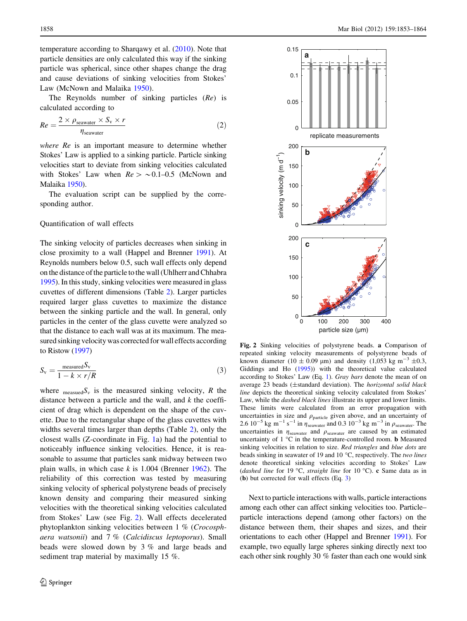<span id="page-5-0"></span>temperature according to Sharqawy et al. [\(2010](#page-11-0)). Note that particle densities are only calculated this way if the sinking particle was spherical, since other shapes change the drag and cause deviations of sinking velocities from Stokes' Law (McNown and Malaika [1950](#page-10-0)).

The Reynolds number of sinking particles (Re) is calculated according to

$$
Re = \frac{2 \times \rho_{\text{seawater}} \times S_{\text{v}} \times r}{\eta_{\text{seawater}}}
$$
 (2)

where Re is an important measure to determine whether Stokes' Law is applied to a sinking particle. Particle sinking velocities start to deviate from sinking velocities calculated with Stokes' Law when  $Re > 0.1{\text -}0.5$  (McNown and Malaika [1950\)](#page-10-0).

The evaluation script can be supplied by the corresponding author.

## Quantification of wall effects

The sinking velocity of particles decreases when sinking in close proximity to a wall (Happel and Brenner [1991](#page-10-0)). At Reynolds numbers below 0.5, such wall effects only depend on the distance of the particle to the wall (Uhlherr and Chhabra [1995\)](#page-11-0). In this study, sinking velocities were measured in glass cuvettes of different dimensions (Table [2](#page-3-0)). Larger particles required larger glass cuvettes to maximize the distance between the sinking particle and the wall. In general, only particles in the center of the glass cuvette were analyzed so that the distance to each wall was at its maximum. The measured sinking velocity was corrected for wall effects according to Ristow ([1997](#page-11-0))

$$
S_{\rm v} = \frac{\text{measured} S_{\rm v}}{1 - k \times r/R} \tag{3}
$$

where  $_{\text{measured}} S_v$  is the measured sinking velocity, R the distance between a particle and the wall, and  $k$  the coefficient of drag which is dependent on the shape of the cuvette. Due to the rectangular shape of the glass cuvettes with widths several times larger than depths (Table [2](#page-3-0)), only the closest walls (Z-coordinate in Fig. [1a](#page-3-0)) had the potential to noticeably influence sinking velocities. Hence, it is reasonable to assume that particles sank midway between two plain walls, in which case  $k$  is 1.004 (Brenner [1962](#page-10-0)). The reliability of this correction was tested by measuring sinking velocity of spherical polystyrene beads of precisely known density and comparing their measured sinking velocities with the theoretical sinking velocities calculated from Stokes' Law (see Fig. 2). Wall effects decelerated phytoplankton sinking velocities between 1 % (Crocosphaera watsonii) and 7 % (Calcidiscus leptoporus). Small beads were slowed down by 3 % and large beads and sediment trap material by maximally 15 %.



Fig. 2 Sinking velocities of polystyrene beads. a Comparison of repeated sinking velocity measurements of polystyrene beads of known diameter (10  $\pm$  0.09 µm) and density (1,053 kg m<sup>-3</sup>  $\pm$ 0.3, Giddings and Ho [\(1995](#page-10-0))) with the theoretical value calculated according to Stokes' Law (Eq. [1\)](#page-4-0). Gray bars denote the mean of on average 23 beads (±standard deviation). The horizontal solid black line depicts the theoretical sinking velocity calculated from Stokes' Law, while the dashed black lines illustrate its upper and lower limits. These limits were calculated from an error propagation with uncertainties in size and  $\rho_{\text{particle}}$  given above, and an uncertainty of 2.6  $10^{-5}$  kg m<sup>-1</sup> s<sup>-1</sup> in  $\eta_{\text{seawater}}$  and 0.3  $10^{-3}$  kg m<sup>-3</sup> in  $\rho_{\text{seawater}}$ . The uncertainties in  $\eta_{\text{seawater}}$  and  $\rho_{\text{seawater}}$  are caused by an estimated uncertainty of  $1 \,^{\circ}\mathrm{C}$  in the temperature-controlled room. **b** Measured sinking velocities in relation to size. Red triangles and blue dots are beads sinking in seawater of 19 and 10  $\degree$ C, respectively. The two lines denote theoretical sinking velocities according to Stokes' Law (dashed line for 19 °C, straight line for 10 °C). c Same data as in (b) but corrected for wall effects (Eq. 3)

Next to particle interactions with walls, particle interactions among each other can affect sinking velocities too. Particle– particle interactions depend (among other factors) on the distance between them, their shapes and sizes, and their orientations to each other (Happel and Brenner [1991](#page-10-0)). For example, two equally large spheres sinking directly next too each other sink roughly 30 % faster than each one would sink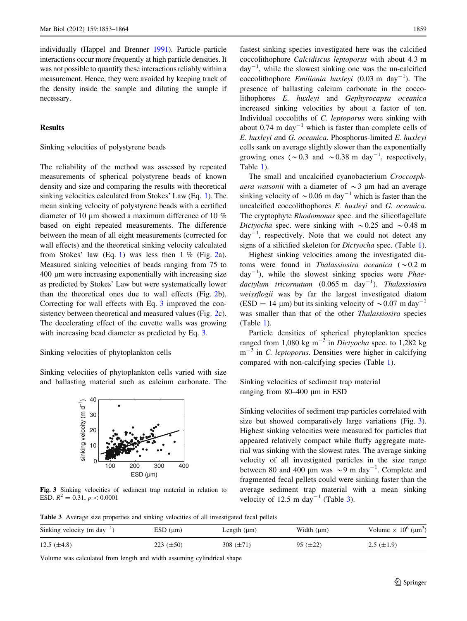<span id="page-6-0"></span>individually (Happel and Brenner [1991\)](#page-10-0). Particle–particle interactions occur more frequently at high particle densities. It was not possible to quantify these interactions reliably within a measurement. Hence, they were avoided by keeping track of the density inside the sample and diluting the sample if necessary.

## Results

Sinking velocities of polystyrene beads

The reliability of the method was assessed by repeated measurements of spherical polystyrene beads of known density and size and comparing the results with theoretical sinking velocities calculated from Stokes' Law (Eq. [1](#page-4-0)). The mean sinking velocity of polystyrene beads with a certified diameter of 10  $\mu$ m showed a maximum difference of 10 % based on eight repeated measurements. The difference between the mean of all eight measurements (corrected for wall effects) and the theoretical sinking velocity calculated from Stokes' law (Eq. [1](#page-4-0)) was less then  $1\%$  (Fig. [2a](#page-5-0)). Measured sinking velocities of beads ranging from 75 to 400 lm were increasing exponentially with increasing size as predicted by Stokes' Law but were systematically lower than the theoretical ones due to wall effects (Fig. [2](#page-5-0)b). Correcting for wall effects with Eq. [3](#page-5-0) improved the consistency between theoretical and measured values (Fig. [2c](#page-5-0)). The decelerating effect of the cuvette walls was growing with increasing bead diameter as predicted by Eq. [3](#page-5-0).

#### Sinking velocities of phytoplankton cells

Sinking velocities of phytoplankton cells varied with size and ballasting material such as calcium carbonate. The



Fig. 3 Sinking velocities of sediment trap material in relation to ESD.  $R^2 = 0.31$ ,  $p < 0.0001$ 

fastest sinking species investigated here was the calcified coccolithophore Calcidiscus leptoporus with about 4.3 m  $day^{-1}$ , while the slowest sinking one was the un-calcified coccolithophore *Emiliania huxleyi* (0.03 m day<sup>-1</sup>). The presence of ballasting calcium carbonate in the coccolithophores E. huxleyi and Gephyrocapsa oceanica increased sinking velocities by about a factor of ten. Individual coccoliths of C. leptoporus were sinking with about  $0.74$  m day<sup>-1</sup> which is faster than complete cells of E. huxleyi and G. oceanica. Phosphorus-limited E. huxleyi cells sank on average slightly slower than the exponentially growing ones ( $\sim$ 0.3 and  $\sim$ 0.38 m day<sup>-1</sup>, respectively, Table [1](#page-2-0)).

The small and uncalcified cyanobacterium Croccosphaera watsonii with a diameter of  $\sim$ 3 µm had an average sinking velocity of  $\sim 0.06$  m day<sup>-1</sup> which is faster than the uncalcified coccolithophores E. huxleyi and G. oceanica. The cryptophyte Rhodomonas spec. and the silicoflagellate Dictyocha spec. were sinking with  $\sim 0.25$  and  $\sim 0.48$  m  $day^{-1}$ , respectively. Note that we could not detect any signs of a silicified skeleton for Dictyocha spec. (Table [1](#page-2-0)).

Highest sinking velocities among the investigated diatoms were found in Thalassiosira oceanica ( $\sim 0.2$  m  $day^{-1}$ ), while the slowest sinking species were *Phae*dactylum tricornutum (0.065 m day<sup>-1</sup>). Thalassiosira weissflogii was by far the largest investigated diatom (ESD = 14 µm) but its sinking velocity of  $\sim 0.07$  m day<sup>-1</sup> was smaller than that of the other Thalassiosira species (Table [1\)](#page-2-0).

Particle densities of spherical phytoplankton species ranged from 1,080 kg  $m^{-3}$  in *Dictyocha* spec. to 1,282 kg  $m^{-3}$  in C. leptoporus. Densities were higher in calcifying compared with non-calcifying species (Table [1\)](#page-2-0).

Sinking velocities of sediment trap material ranging from 80–400 µm in ESD

Sinking velocities of sediment trap particles correlated with size but showed comparatively large variations (Fig. 3). Highest sinking velocities were measured for particles that appeared relatively compact while fluffy aggregate material was sinking with the slowest rates. The average sinking velocity of all investigated particles in the size range between 80 and 400  $\mu$ m was  $\sim$ 9 m day<sup>-1</sup>. Complete and fragmented fecal pellets could were sinking faster than the average sediment trap material with a mean sinking velocity of 12.5 m day<sup>-1</sup> (Table 3).

Table 3 Average size properties and sinking velocities of all investigated fecal pellets

| Sinking velocity (m day <sup>-1</sup> ) | $ESD$ ( $\mu$ m) | Length $(\mu m)$ | Width $(\mu m)$ | Volume $\times 10^6$ ( $\mu$ m <sup>3</sup> ) |
|-----------------------------------------|------------------|------------------|-----------------|-----------------------------------------------|
| 12.5 $(\pm 4.8)$                        | 223 $(\pm 50)$   | 308 $(\pm 71)$   | $95 (\pm 22)$   | $2.5 \ (\pm 1.9)$                             |

Volume was calculated from length and width assuming cylindrical shape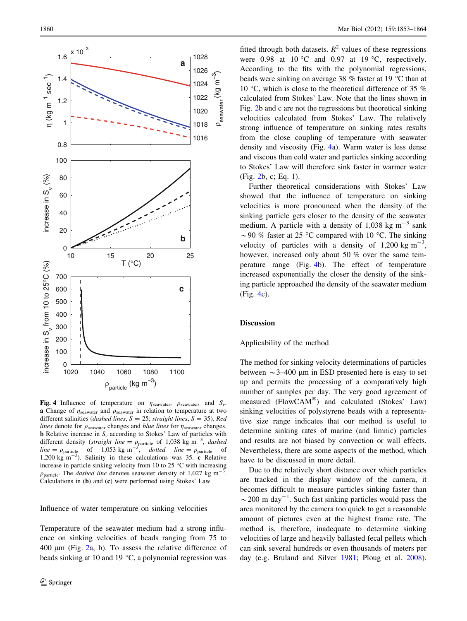<span id="page-7-0"></span>

Fig. 4 Influence of temperature on  $\eta_{\text{seawater}}$ ,  $\rho_{\text{seawater}}$ , and  $S_{\nu}$ . a Change of  $\eta_{\text{seawater}}$  and  $\rho_{\text{seawater}}$  in relation to temperature at two different salinities (dashed lines,  $S = 25$ ; straight lines,  $S = 35$ ). Red lines denote for  $\rho_{\text{seawater}}$  changes and *blue lines* for  $\eta_{\text{seawater}}$  changes. **b** Relative increase in  $S_v$  according to Stokes' Law of particles with different density (*straight line* =  $\rho_{\text{particle}}$  of 1,038 kg m<sup>-3</sup>, *dashed*<br>*line* =  $\rho_{\text{particle}}$  of 1,053 kg m<sup>-3</sup>, *dotted line* =  $\rho_{\text{particle}}$  of<br>1,200 kg m<sup>-3</sup>). Salinity in these calculations was 35. **c** Relative increase in particle sinking velocity from 10 to 25  $\degree$ C with increasing  $\rho_{\text{particle}}$ . The *dashed line* denotes seawater density of 1,027 kg m<sup>-3</sup>. Calculations in (b) and (c) were performed using Stokes' Law

Influence of water temperature on sinking velocities

Temperature of the seawater medium had a strong influence on sinking velocities of beads ranging from 75 to  $400 \mu m$  (Fig. [2](#page-5-0)a, b). To assess the relative difference of beads sinking at 10 and 19  $\degree$ C, a polynomial regression was

fitted through both datasets.  $R^2$  values of these regressions were 0.98 at 10 °C and 0.97 at 19 °C, respectively. According to the fits with the polynomial regressions, beads were sinking on average 38  $%$  faster at 19  $°C$  than at 10 °C, which is close to the theoretical difference of 35  $%$ calculated from Stokes' Law. Note that the lines shown in Fig. [2](#page-5-0)b and c are not the regressions but theoretical sinking velocities calculated from Stokes' Law. The relatively strong influence of temperature on sinking rates results from the close coupling of temperature with seawater density and viscosity (Fig. 4a). Warm water is less dense and viscous than cold water and particles sinking according to Stokes' Law will therefore sink faster in warmer water (Fig. [2b](#page-5-0), c; Eq. [1\)](#page-4-0).

Further theoretical considerations with Stokes' Law showed that the influence of temperature on sinking velocities is more pronounced when the density of the sinking particle gets closer to the density of the seawater medium. A particle with a density of 1,038 kg  $\text{m}^{-3}$  sank  $\sim$  90 % faster at 25 °C compared with 10 °C. The sinking velocity of particles with a density of  $1,200 \text{ kg m}^{-3}$ , however, increased only about 50 % over the same temperature range (Fig. 4b). The effect of temperature increased exponentially the closer the density of the sinking particle approached the density of the seawater medium (Fig. 4c).

## Discussion

### Applicability of the method

The method for sinking velocity determinations of particles between  $\sim$  3–400 µm in ESD presented here is easy to set up and permits the processing of a comparatively high number of samples per day. The very good agreement of measured ( $FlowCAM^{\circledR})$  and calculated (Stokes' Law) sinking velocities of polystyrene beads with a representative size range indicates that our method is useful to determine sinking rates of marine (and limnic) particles and results are not biased by convection or wall effects. Nevertheless, there are some aspects of the method, which have to be discussed in more detail.

Due to the relatively short distance over which particles are tracked in the display window of the camera, it becomes difficult to measure particles sinking faster than  $\sim$  200 m day<sup>-1</sup>. Such fast sinking particles would pass the area monitored by the camera too quick to get a reasonable amount of pictures even at the highest frame rate. The method is, therefore, inadequate to determine sinking velocities of large and heavily ballasted fecal pellets which can sink several hundreds or even thousands of meters per day (e.g. Bruland and Silver [1981;](#page-10-0) Ploug et al. [2008](#page-11-0)).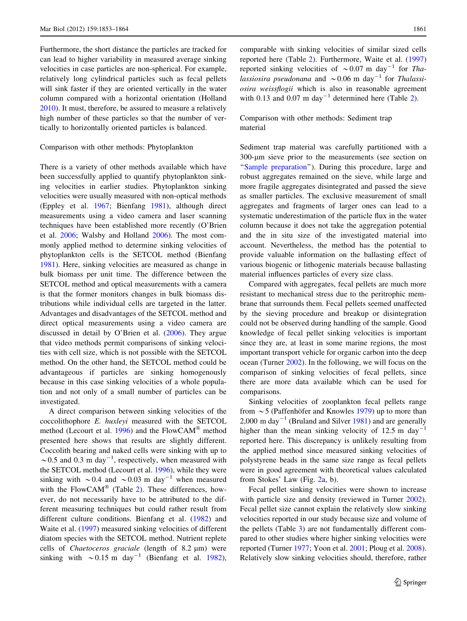Furthermore, the short distance the particles are tracked for can lead to higher variability in measured average sinking velocities in case particles are non-spherical. For example, relatively long cylindrical particles such as fecal pellets will sink faster if they are oriented vertically in the water column compared with a horizontal orientation (Holland [2010\)](#page-10-0). It must, therefore, be assured to measure a relatively high number of these particles so that the number of vertically to horizontally oriented particles is balanced.

## Comparison with other methods: Phytoplankton

There is a variety of other methods available which have been successfully applied to quantify phytoplankton sinking velocities in earlier studies. Phytoplankton sinking velocities were usually measured with non-optical methods (Eppley et al. [1967;](#page-10-0) Bienfang [1981](#page-10-0)), although direct measurements using a video camera and laser scanning techniques have been established more recently (O'Brien et al. [2006;](#page-10-0) Walsby and Holland [2006](#page-11-0)). The most commonly applied method to determine sinking velocities of phytoplankton cells is the SETCOL method (Bienfang [1981\)](#page-10-0). Here, sinking velocities are measured as change in bulk biomass per unit time. The difference between the SETCOL method and optical measurements with a camera is that the former monitors changes in bulk biomass distributions while individual cells are targeted in the latter. Advantages and disadvantages of the SETCOL method and direct optical measurements using a video camera are discussed in detail by O'Brien et al. [\(2006](#page-10-0)). They argue that video methods permit comparisons of sinking velocities with cell size, which is not possible with the SETCOL method. On the other hand, the SETCOL method could be advantageous if particles are sinking homogenously because in this case sinking velocities of a whole population and not only of a small number of particles can be investigated.

A direct comparison between sinking velocities of the coccolithophore E. huxleyi measured with the SETCOL method (Lecourt et al. [1996](#page-10-0)) and the  $FlowCAM^{\circledR}$  method presented here shows that results are slightly different. Coccolith bearing and naked cells were sinking with up to  $\sim$  0.5 and 0.3 m day<sup>-1</sup>, respectively, when measured with the SETCOL method (Lecourt et al. [1996](#page-10-0)), while they were sinking with  $\sim 0.4$  and  $\sim 0.03$  m day<sup>-1</sup> when measured with the FlowCAM<sup>®</sup> (Table [2](#page-3-0)). These differences, however, do not necessarily have to be attributed to the different measuring techniques but could rather result from different culture conditions. Bienfang et al. [\(1982](#page-10-0)) and Waite et al. [\(1997](#page-11-0)) measured sinking velocities of different diatom species with the SETCOL method. Nutrient replete cells of *Chaetoceros graciale* (length of  $8.2 \mu m$ ) were sinking with  $\sim 0.15$  m day<sup>-1</sup> (Bienfang et al. [1982](#page-10-0)), comparable with sinking velocities of similar sized cells reported here (Table [2\)](#page-3-0). Furthermore, Waite et al. ([1997\)](#page-11-0) reported sinking velocities of  $\sim 0.07$  m day<sup>-1</sup> for *Tha*lassiosira pseudonana and  $\sim 0.06$  m day<sup>-1</sup> for Thalassiosira weissflogii which is also in reasonable agreement with 0.13 and 0.07 m day<sup>-1</sup> determined here (Table [2\)](#page-3-0).

## Comparison with other methods: Sediment trap material

Sediment trap material was carefully partitioned with a 300-lm sieve prior to the measurements (see section on "Sample preparation"). During this procedure, large and robust aggregates remained on the sieve, while large and more fragile aggregates disintegrated and passed the sieve as smaller particles. The exclusive measurement of small aggregates and fragments of larger ones can lead to a systematic underestimation of the particle flux in the water column because it does not take the aggregation potential and the in situ size of the investigated material into account. Nevertheless, the method has the potential to provide valuable information on the ballasting effect of various biogenic or lithogenic materials because ballasting material influences particles of every size class.

Compared with aggregates, fecal pellets are much more resistant to mechanical stress due to the peritrophic membrane that surrounds them. Fecal pellets seemed unaffected by the sieving procedure and breakup or disintegration could not be observed during handling of the sample. Good knowledge of fecal pellet sinking velocities is important since they are, at least in some marine regions, the most important transport vehicle for organic carbon into the deep ocean (Turner [2002](#page-11-0)). In the following, we will focus on the comparison of sinking velocities of fecal pellets, since there are more data available which can be used for comparisons.

Sinking velocities of zooplankton fecal pellets range from  $\sim$  5 (Paffenhöfer and Knowles [1979](#page-10-0)) up to more than 2,000 m day<sup>-1</sup> (Bruland and Silver [1981\)](#page-10-0) and are generally higher than the mean sinking velocity of 12.5 m day<sup>-1</sup> reported here. This discrepancy is unlikely resulting from the applied method since measured sinking velocities of polystyrene beads in the same size range as fecal pellets were in good agreement with theoretical values calculated from Stokes' Law (Fig. [2a](#page-5-0), b).

Fecal pellet sinking velocities were shown to increase with particle size and density (reviewed in Turner [2002](#page-11-0)). Fecal pellet size cannot explain the relatively slow sinking velocities reported in our study because size and volume of the pellets (Table [3\)](#page-6-0) are not fundamentally different compared to other studies where higher sinking velocities were reported (Turner [1977;](#page-11-0) Yoon et al. [2001](#page-11-0); Ploug et al. [2008](#page-11-0)). Relatively slow sinking velocities should, therefore, rather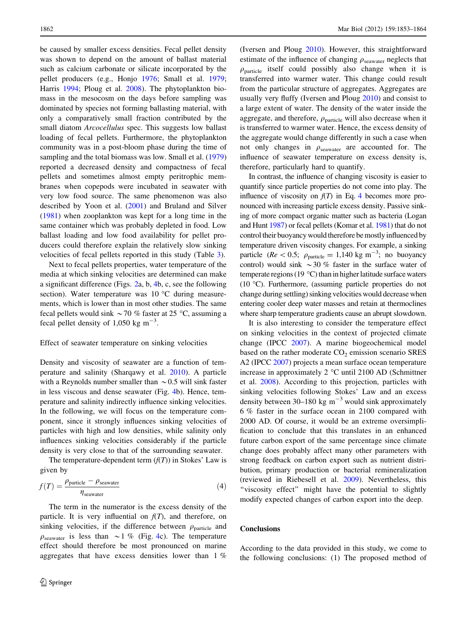be caused by smaller excess densities. Fecal pellet density was shown to depend on the amount of ballast material such as calcium carbonate or silicate incorporated by the pellet producers (e.g., Honjo [1976;](#page-10-0) Small et al. [1979](#page-11-0); Harris [1994](#page-10-0); Ploug et al. [2008\)](#page-11-0). The phytoplankton biomass in the mesocosm on the days before sampling was dominated by species not forming ballasting material, with only a comparatively small fraction contributed by the small diatom Arcocellulus spec. This suggests low ballast loading of fecal pellets. Furthermore, the phytoplankton community was in a post-bloom phase during the time of sampling and the total biomass was low. Small et al. ([1979\)](#page-11-0) reported a decreased density and compactness of fecal pellets and sometimes almost empty peritrophic membranes when copepods were incubated in seawater with very low food source. The same phenomenon was also described by Yoon et al. ([2001](#page-11-0)) and Bruland and Silver [\(1981](#page-10-0)) when zooplankton was kept for a long time in the same container which was probably depleted in food. Low ballast loading and low food availability for pellet producers could therefore explain the relatively slow sinking velocities of fecal pellets reported in this study (Table [3\)](#page-6-0).

Next to fecal pellets properties, water temperature of the media at which sinking velocities are determined can make a significant difference (Figs. [2](#page-5-0)a, b, [4b](#page-7-0), c, see the following section). Water temperature was  $10^{\circ}$ C during measurements, which is lower than in most other studies. The same fecal pellets would sink  $\sim$  70 % faster at 25 °C, assuming a fecal pellet density of 1,050 kg  $m^{-3}$ .

#### Effect of seawater temperature on sinking velocities

Density and viscosity of seawater are a function of temperature and salinity (Sharqawy et al. [2010\)](#page-11-0). A particle with a Reynolds number smaller than  $\sim 0.5$  will sink faster in less viscous and dense seawater (Fig. [4b](#page-7-0)). Hence, temperature and salinity indirectly influence sinking velocities. In the following, we will focus on the temperature component, since it strongly influences sinking velocities of particles with high and low densities, while salinity only influences sinking velocities considerably if the particle density is very close to that of the surrounding seawater.

The temperature-dependent term  $(f(T))$  in Stokes' Law is given by

$$
f(T) = \frac{\rho_{\text{particle}} - \rho_{\text{seawater}}}{\eta_{\text{seawater}}}
$$
 (4)

The term in the numerator is the excess density of the particle. It is very influential on  $f(T)$ , and therefore, on sinking velocities, if the difference between  $\rho_{\text{particle}}$  and  $\rho_{\text{seawater}}$  is less than  $\sim$  1 % (Fig. [4c](#page-7-0)). The temperature effect should therefore be most pronounced on marine aggregates that have excess densities lower than 1 %

(Iversen and Ploug [2010\)](#page-10-0). However, this straightforward estimate of the influence of changing  $\rho_{\text{seawater}}$  neglects that  $\rho_{\text{particle}}$  itself could possibly also change when it is transferred into warmer water. This change could result from the particular structure of aggregates. Aggregates are usually very fluffy (Iversen and Ploug [2010](#page-10-0)) and consist to a large extent of water. The density of the water inside the aggregate, and therefore,  $\rho_{\text{particle}}$  will also decrease when it is transferred to warmer water. Hence, the excess density of the aggregate would change differently in such a case when not only changes in  $\rho_{\text{seawater}}$  are accounted for. The influence of seawater temperature on excess density is, therefore, particularly hard to quantify.

In contrast, the influence of changing viscosity is easier to quantify since particle properties do not come into play. The influence of viscosity on  $f(T)$  in Eq. 4 becomes more pronounced with increasing particle excess density. Passive sinking of more compact organic matter such as bacteria (Logan and Hunt [1987\)](#page-10-0) or fecal pellets (Komar et al. [1981](#page-10-0)) that do not control their buoyancy would therefore be mostly influenced by temperature driven viscosity changes. For example, a sinking particle ( $Re < 0.5$ ;  $\rho_{\text{particle}} = 1,140 \text{ kg m}^{-3}$ ; no buoyancy control) would sink  $\sim$  30 % faster in the surface water of temperate regions (19 $\degree$ C) than in higher latitude surface waters (10 °C). Furthermore, (assuming particle properties do not change during settling) sinking velocities would decrease when entering cooler deep water masses and retain at thermoclines where sharp temperature gradients cause an abrupt slowdown.

It is also interesting to consider the temperature effect on sinking velocities in the context of projected climate change (IPCC [2007\)](#page-10-0). A marine biogeochemical model based on the rather moderate  $CO<sub>2</sub>$  emission scenario SRES A2 (IPCC [2007\)](#page-10-0) projects a mean surface ocean temperature increase in approximately  $2^{\circ}$ C until 2100 AD (Schmittner et al. [2008](#page-11-0)). According to this projection, particles with sinking velocities following Stokes' Law and an excess density between 30–180 kg  $m^{-3}$  would sink approximately 6 % faster in the surface ocean in 2100 compared with 2000 AD. Of course, it would be an extreme oversimplification to conclude that this translates in an enhanced future carbon export of the same percentage since climate change does probably affect many other parameters with strong feedback on carbon export such as nutrient distribution, primary production or bacterial remineralization (reviewed in Riebesell et al. [2009\)](#page-11-0). Nevertheless, this "viscosity effect" might have the potential to slightly modify expected changes of carbon export into the deep.

## **Conclusions**

According to the data provided in this study, we come to the following conclusions: (1) The proposed method of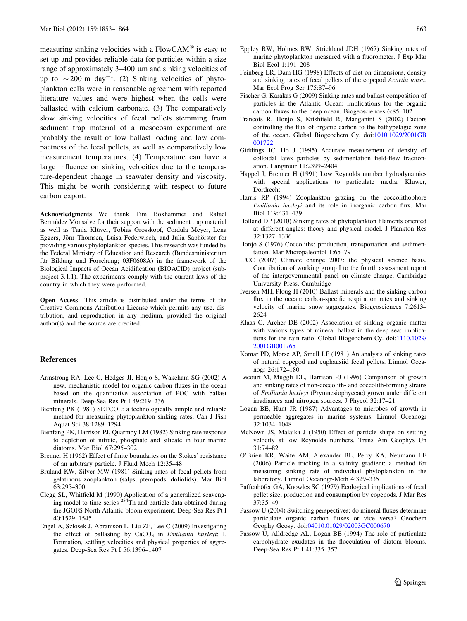<span id="page-10-0"></span>measuring sinking velocities with a  $FlowCAM^{\circledR}$  is easy to set up and provides reliable data for particles within a size range of approximately 3–400  $\mu$ m and sinking velocities of up to  $\sim$  200 m day<sup>-1</sup>. (2) Sinking velocities of phytoplankton cells were in reasonable agreement with reported literature values and were highest when the cells were ballasted with calcium carbonate. (3) The comparatively slow sinking velocities of fecal pellets stemming from sediment trap material of a mesocosm experiment are probably the result of low ballast loading and low compactness of the fecal pellets, as well as comparatively low measurement temperatures. (4) Temperature can have a large influence on sinking velocities due to the temperature-dependent change in seawater density and viscosity. This might be worth considering with respect to future carbon export.

Acknowledgments We thank Tim Boxhammer and Rafael Bermúdez Monsalve for their support with the sediment trap material as well as Tania Klüver, Tobias Grosskopf, Cordula Meyer, Lena Eggers, Jörn Thomsen, Luisa Federwisch, and Julia Saphörster for providing various phytoplankton species. This research was funded by the Federal Ministry of Education and Research (Bundesministerium für Bildung und Forschung; 03F0608A) in the framework of the Biological Impacts of Ocean Acidification (BIOACID) project (subproject 3.1.1). The experiments comply with the current laws of the country in which they were performed.

Open Access This article is distributed under the terms of the Creative Commons Attribution License which permits any use, distribution, and reproduction in any medium, provided the original author(s) and the source are credited.

#### References

- Armstrong RA, Lee C, Hedges JI, Honjo S, Wakeham SG (2002) A new, mechanistic model for organic carbon fluxes in the ocean based on the quantitative association of POC with ballast minerals. Deep-Sea Res Pt I 49:219–236
- Bienfang PK (1981) SETCOL: a technologically simple and reliable method for measuring phytoplankton sinking rates. Can J Fish Aquat Sci 38:1289–1294
- Bienfang PK, Harrison PJ, Quarmby LM (1982) Sinking rate response to depletion of nitrate, phosphate and silicate in four marine diatoms. Mar Biol 67:295–302
- Brenner H (1962) Effect of finite boundaries on the Stokes' resistance of an arbitrary particle. J Fluid Mech 12:35–48
- Bruland KW, Silver MW (1981) Sinking rates of fecal pellets from gelatinous zooplankton (salps, pteropods, doliolids). Mar Biol 63:295–300
- Clegg SL, Whitfield M (1990) Application of a generalized scavenging model to time-series 234Th and particle data obtained during the JGOFS North Atlantic bloom experiment. Deep-Sea Res Pt I 40:1529–1545
- Engel A, Szlosek J, Abramson L, Liu ZF, Lee C (2009) Investigating the effect of ballasting by  $CaCO<sub>3</sub>$  in Emiliania huxleyi: I. Formation, settling velocities and physical properties of aggregates. Deep-Sea Res Pt I 56:1396–1407
- Eppley RW, Holmes RW, Strickland JDH (1967) Sinking rates of marine phytoplankton measured with a fluorometer. J Exp Mar Biol Ecol 1:191–208
- Feinberg LR, Dam HG (1998) Effects of diet on dimensions, density and sinking rates of fecal pellets of the copepod Acartia tonsa. Mar Ecol Prog Ser 175:87–96
- Fischer G, Karakas G (2009) Sinking rates and ballast composition of particles in the Atlantic Ocean: implications for the organic carbon fluxes to the deep ocean. Biogeosciences 6:85–102
- Francois R, Honjo S, Krishfield R, Manganini S (2002) Factors controlling the flux of organic carbon to the bathypelagic zone of the ocean. Global Biogeochem Cy. doi[:1010.1029/2001GB](http://dx.doi.org/1010.1029/2001GB001722) [001722](http://dx.doi.org/1010.1029/2001GB001722)
- Giddings JC, Ho J (1995) Accurate measurement of density of colloidal latex particles by sedimentation field-flew fractionation. Langmuir 11:2399–2404
- Happel J, Brenner H (1991) Low Reynolds number hydrodynamics with special applications to particulate media. Kluwer, Dordrecht
- Harris RP (1994) Zooplankton grazing on the coccolithophore Emiliania huxleyi and its role in inorganic carbon flux. Mar Biol 119:431–439
- Holland DP (2010) Sinking rates of phytoplankton filaments oriented at different angles: theory and physical model. J Plankton Res 32:1327–1336
- Honjo S (1976) Coccoliths: production, transportation and sedimentation. Mar Micropaleontol 1:65–79
- IPCC (2007) Climate change 2007: the physical science basis. Contribution of working group I to the fourth assessment report of the intergovernmental panel on climate change. Cambridge University Press, Cambridge
- Iversen MH, Ploug H (2010) Ballast minerals and the sinking carbon flux in the ocean: carbon-specific respiration rates and sinking velocity of marine snow aggregates. Biogeosciences 7:2613– 2624
- Klaas C, Archer DE (2002) Association of sinking organic matter with various types of mineral ballast in the deep sea: implications for the rain ratio. Global Biogeochem Cy. doi:[1110.1029/](http://dx.doi.org/1110.1029/2001GB001765) [2001GB001765](http://dx.doi.org/1110.1029/2001GB001765)
- Komar PD, Morse AP, Small LF (1981) An analysis of sinking rates of natural copepod and euphausiid fecal pellets. Limnol Oceanogr 26:172–180
- Lecourt M, Muggli DL, Harrison PJ (1996) Comparison of growth and sinking rates of non-coccolith- and coccolith-forming strains of Emiliania huxleyi (Prymnesiophyceae) grown under different irradiances and nitrogen sources. J Phycol 32:17–21
- Logan BE, Hunt JR (1987) Advantages to microbes of growth in permeable aggregates in marine systems. Limnol Oceanogr 32:1034–1048
- McNown JS, Malaika J (1950) Effect of particle shape on settling velocity at low Reynolds numbers. Trans Am Geophys Un 31:74–82
- O'Brien KR, Waite AM, Alexander BL, Perry KA, Neumann LE (2006) Particle tracking in a salinity gradient: a method for measuring sinking rate of individual phytoplankton in the laboratory. Limnol Oceanogr-Meth 4:329–335
- Paffenhöfer GA, Knowles SC (1979) Ecological implications of fecal pellet size, production and consumption by copepods. J Mar Res 37:35–49
- Passow U (2004) Switching perspectives: do mineral fluxes determine particulate organic carbon fluxes or vice versa? Geochem Geophy Geosy. doi:[04010.01029/02003GC000670](http://dx.doi.org/04010.01029/02003GC000670)
- Passow U, Alldredge AL, Logan BE (1994) The role of particulate carbohydrate exudates in the flocculation of diatom blooms. Deep-Sea Res Pt I 41:335–357